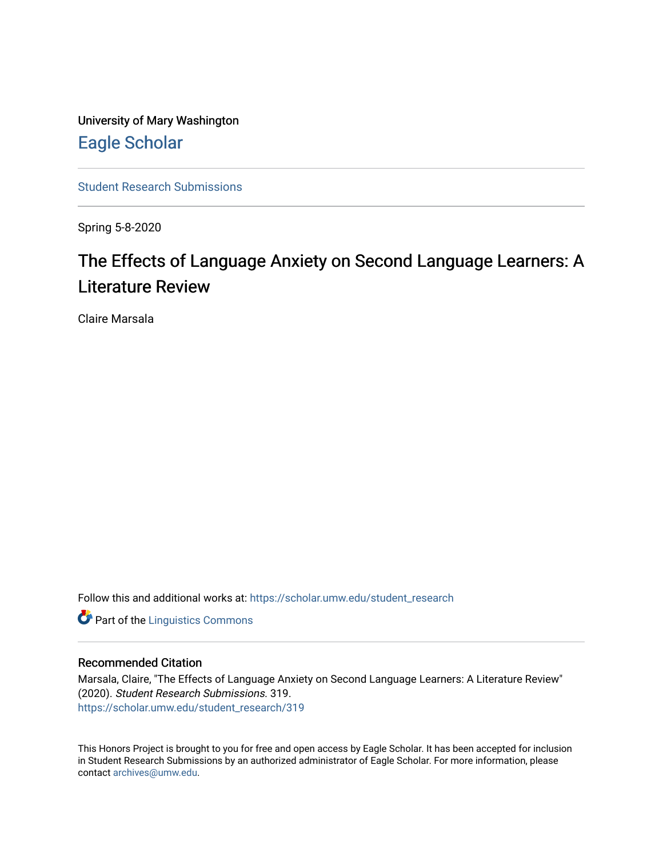University of Mary Washington [Eagle Scholar](https://scholar.umw.edu/) 

[Student Research Submissions](https://scholar.umw.edu/student_research) 

Spring 5-8-2020

## The Effects of Language Anxiety on Second Language Learners: A Literature Review

Claire Marsala

Follow this and additional works at: [https://scholar.umw.edu/student\\_research](https://scholar.umw.edu/student_research?utm_source=scholar.umw.edu%2Fstudent_research%2F319&utm_medium=PDF&utm_campaign=PDFCoverPages)

**Part of the Linguistics Commons** 

## Recommended Citation

Marsala, Claire, "The Effects of Language Anxiety on Second Language Learners: A Literature Review" (2020). Student Research Submissions. 319. [https://scholar.umw.edu/student\\_research/319](https://scholar.umw.edu/student_research/319?utm_source=scholar.umw.edu%2Fstudent_research%2F319&utm_medium=PDF&utm_campaign=PDFCoverPages)

This Honors Project is brought to you for free and open access by Eagle Scholar. It has been accepted for inclusion in Student Research Submissions by an authorized administrator of Eagle Scholar. For more information, please contact [archives@umw.edu](mailto:archives@umw.edu).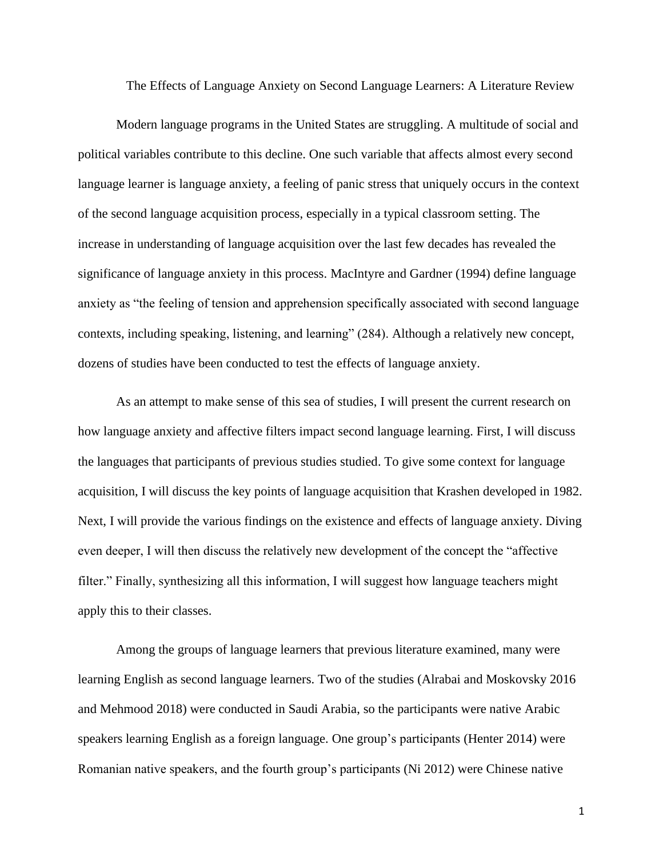The Effects of Language Anxiety on Second Language Learners: A Literature Review

Modern language programs in the United States are struggling. A multitude of social and political variables contribute to this decline. One such variable that affects almost every second language learner is language anxiety, a feeling of panic stress that uniquely occurs in the context of the second language acquisition process, especially in a typical classroom setting. The increase in understanding of language acquisition over the last few decades has revealed the significance of language anxiety in this process. MacIntyre and Gardner (1994) define language anxiety as "the feeling of tension and apprehension specifically associated with second language contexts, including speaking, listening, and learning" (284). Although a relatively new concept, dozens of studies have been conducted to test the effects of language anxiety.

As an attempt to make sense of this sea of studies, I will present the current research on how language anxiety and affective filters impact second language learning. First, I will discuss the languages that participants of previous studies studied. To give some context for language acquisition, I will discuss the key points of language acquisition that Krashen developed in 1982. Next, I will provide the various findings on the existence and effects of language anxiety. Diving even deeper, I will then discuss the relatively new development of the concept the "affective filter." Finally, synthesizing all this information, I will suggest how language teachers might apply this to their classes.

Among the groups of language learners that previous literature examined, many were learning English as second language learners. Two of the studies (Alrabai and Moskovsky 2016 and Mehmood 2018) were conducted in Saudi Arabia, so the participants were native Arabic speakers learning English as a foreign language. One group's participants (Henter 2014) were Romanian native speakers, and the fourth group's participants (Ni 2012) were Chinese native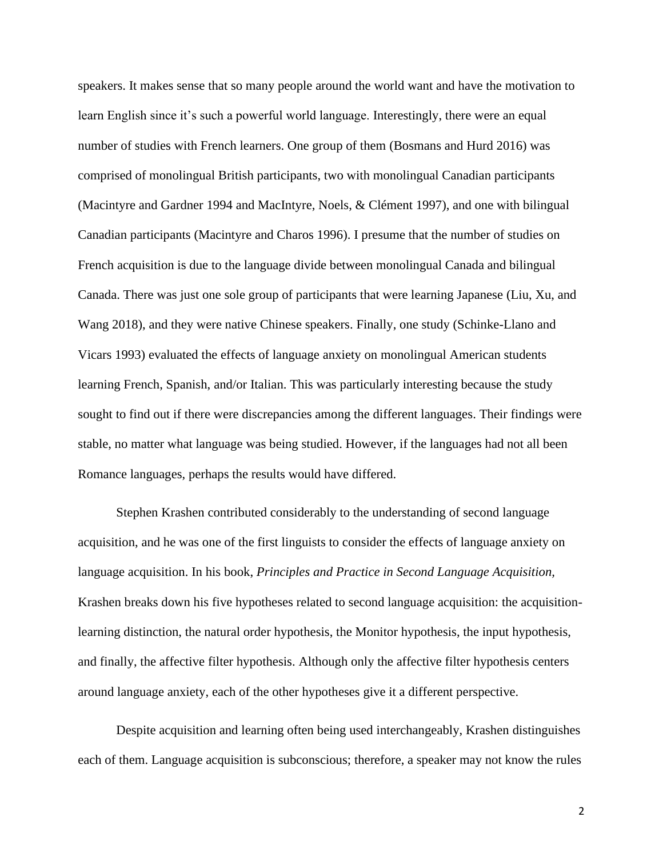speakers. It makes sense that so many people around the world want and have the motivation to learn English since it's such a powerful world language. Interestingly, there were an equal number of studies with French learners. One group of them (Bosmans and Hurd 2016) was comprised of monolingual British participants, two with monolingual Canadian participants (Macintyre and Gardner 1994 and MacIntyre, Noels, & Clément 1997), and one with bilingual Canadian participants (Macintyre and Charos 1996). I presume that the number of studies on French acquisition is due to the language divide between monolingual Canada and bilingual Canada. There was just one sole group of participants that were learning Japanese (Liu, Xu, and Wang 2018), and they were native Chinese speakers. Finally, one study (Schinke-Llano and Vicars 1993) evaluated the effects of language anxiety on monolingual American students learning French, Spanish, and/or Italian. This was particularly interesting because the study sought to find out if there were discrepancies among the different languages. Their findings were stable, no matter what language was being studied. However, if the languages had not all been Romance languages, perhaps the results would have differed.

Stephen Krashen contributed considerably to the understanding of second language acquisition, and he was one of the first linguists to consider the effects of language anxiety on language acquisition. In his book, *Principles and Practice in Second Language Acquisition,* Krashen breaks down his five hypotheses related to second language acquisition: the acquisitionlearning distinction, the natural order hypothesis, the Monitor hypothesis, the input hypothesis, and finally, the affective filter hypothesis. Although only the affective filter hypothesis centers around language anxiety, each of the other hypotheses give it a different perspective.

Despite acquisition and learning often being used interchangeably, Krashen distinguishes each of them. Language acquisition is subconscious; therefore, a speaker may not know the rules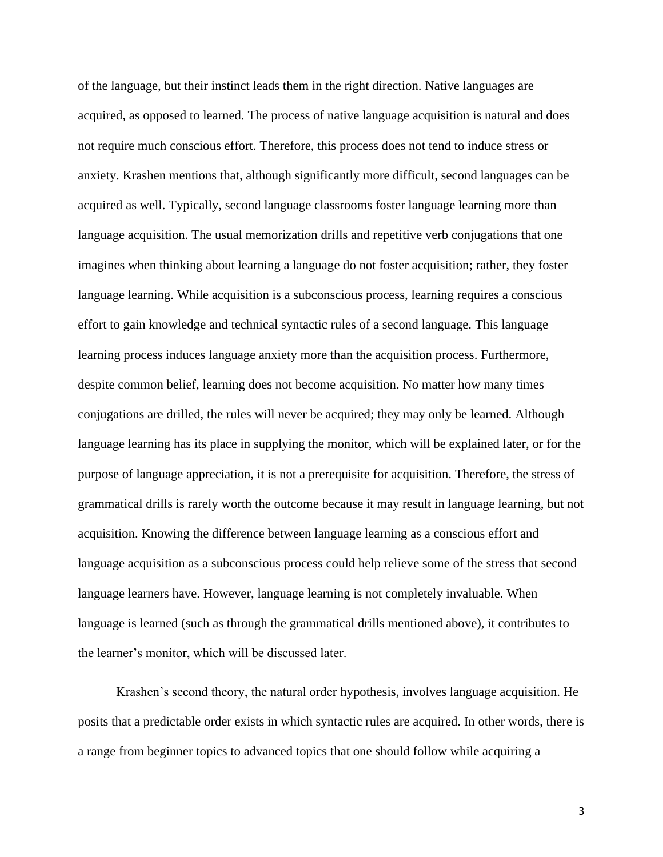of the language, but their instinct leads them in the right direction. Native languages are acquired, as opposed to learned. The process of native language acquisition is natural and does not require much conscious effort. Therefore, this process does not tend to induce stress or anxiety. Krashen mentions that, although significantly more difficult, second languages can be acquired as well. Typically, second language classrooms foster language learning more than language acquisition. The usual memorization drills and repetitive verb conjugations that one imagines when thinking about learning a language do not foster acquisition; rather, they foster language learning. While acquisition is a subconscious process, learning requires a conscious effort to gain knowledge and technical syntactic rules of a second language. This language learning process induces language anxiety more than the acquisition process. Furthermore, despite common belief, learning does not become acquisition. No matter how many times conjugations are drilled, the rules will never be acquired; they may only be learned. Although language learning has its place in supplying the monitor, which will be explained later, or for the purpose of language appreciation, it is not a prerequisite for acquisition. Therefore, the stress of grammatical drills is rarely worth the outcome because it may result in language learning, but not acquisition. Knowing the difference between language learning as a conscious effort and language acquisition as a subconscious process could help relieve some of the stress that second language learners have. However, language learning is not completely invaluable. When language is learned (such as through the grammatical drills mentioned above), it contributes to the learner's monitor, which will be discussed later.

Krashen's second theory, the natural order hypothesis, involves language acquisition. He posits that a predictable order exists in which syntactic rules are acquired. In other words, there is a range from beginner topics to advanced topics that one should follow while acquiring a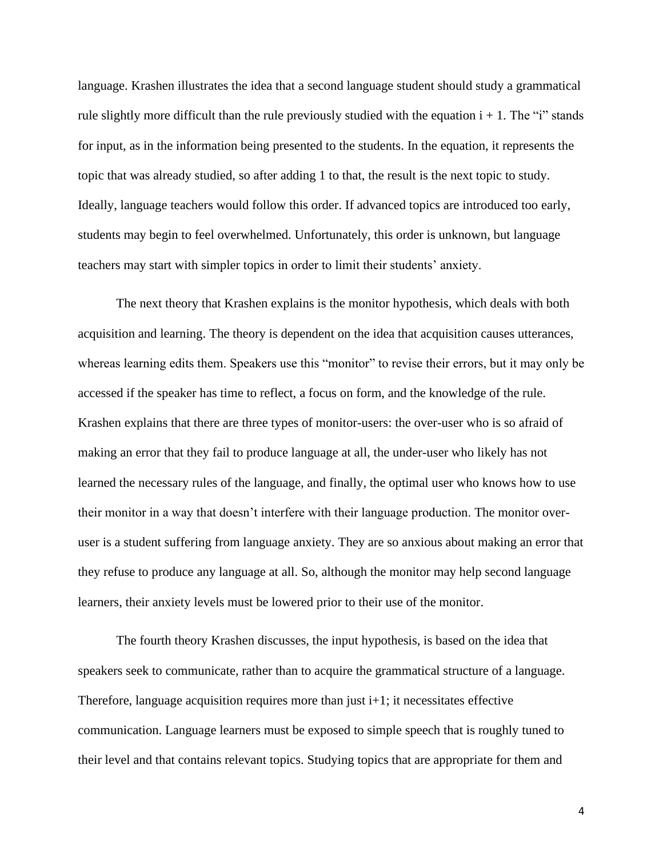language. Krashen illustrates the idea that a second language student should study a grammatical rule slightly more difficult than the rule previously studied with the equation  $i + 1$ . The "i" stands for input, as in the information being presented to the students. In the equation, it represents the topic that was already studied, so after adding 1 to that, the result is the next topic to study. Ideally, language teachers would follow this order. If advanced topics are introduced too early, students may begin to feel overwhelmed. Unfortunately, this order is unknown, but language teachers may start with simpler topics in order to limit their students' anxiety.

The next theory that Krashen explains is the monitor hypothesis, which deals with both acquisition and learning. The theory is dependent on the idea that acquisition causes utterances, whereas learning edits them. Speakers use this "monitor" to revise their errors, but it may only be accessed if the speaker has time to reflect, a focus on form, and the knowledge of the rule. Krashen explains that there are three types of monitor-users: the over-user who is so afraid of making an error that they fail to produce language at all, the under-user who likely has not learned the necessary rules of the language, and finally, the optimal user who knows how to use their monitor in a way that doesn't interfere with their language production. The monitor overuser is a student suffering from language anxiety. They are so anxious about making an error that they refuse to produce any language at all. So, although the monitor may help second language learners, their anxiety levels must be lowered prior to their use of the monitor.

The fourth theory Krashen discusses, the input hypothesis, is based on the idea that speakers seek to communicate, rather than to acquire the grammatical structure of a language. Therefore, language acquisition requires more than just  $i+1$ ; it necessitates effective communication. Language learners must be exposed to simple speech that is roughly tuned to their level and that contains relevant topics. Studying topics that are appropriate for them and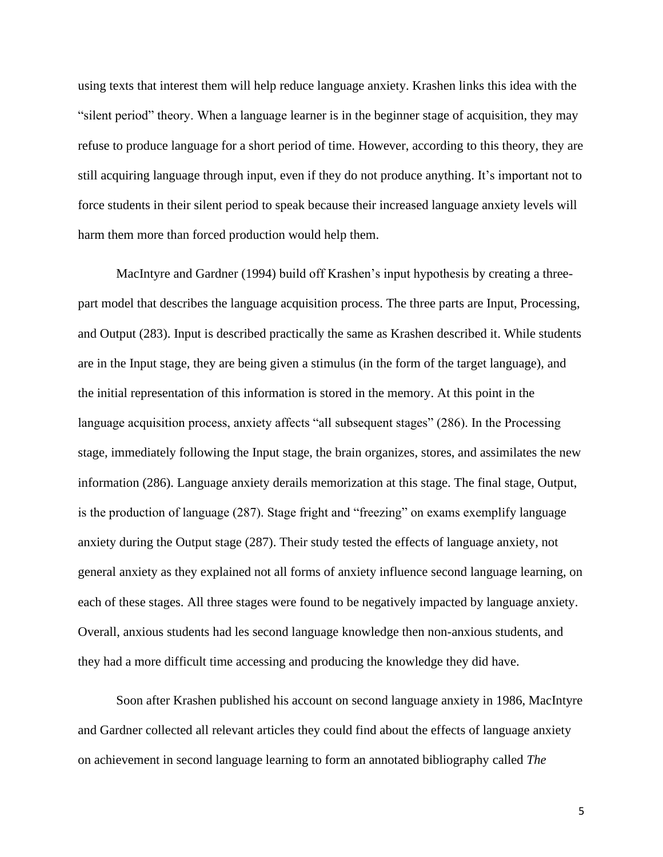using texts that interest them will help reduce language anxiety. Krashen links this idea with the "silent period" theory. When a language learner is in the beginner stage of acquisition, they may refuse to produce language for a short period of time. However, according to this theory, they are still acquiring language through input, even if they do not produce anything. It's important not to force students in their silent period to speak because their increased language anxiety levels will harm them more than forced production would help them.

MacIntyre and Gardner (1994) build off Krashen's input hypothesis by creating a threepart model that describes the language acquisition process. The three parts are Input, Processing, and Output (283). Input is described practically the same as Krashen described it. While students are in the Input stage, they are being given a stimulus (in the form of the target language), and the initial representation of this information is stored in the memory. At this point in the language acquisition process, anxiety affects "all subsequent stages" (286). In the Processing stage, immediately following the Input stage, the brain organizes, stores, and assimilates the new information (286). Language anxiety derails memorization at this stage. The final stage, Output, is the production of language (287). Stage fright and "freezing" on exams exemplify language anxiety during the Output stage (287). Their study tested the effects of language anxiety, not general anxiety as they explained not all forms of anxiety influence second language learning, on each of these stages. All three stages were found to be negatively impacted by language anxiety. Overall, anxious students had les second language knowledge then non-anxious students, and they had a more difficult time accessing and producing the knowledge they did have.

Soon after Krashen published his account on second language anxiety in 1986, MacIntyre and Gardner collected all relevant articles they could find about the effects of language anxiety on achievement in second language learning to form an annotated bibliography called *The*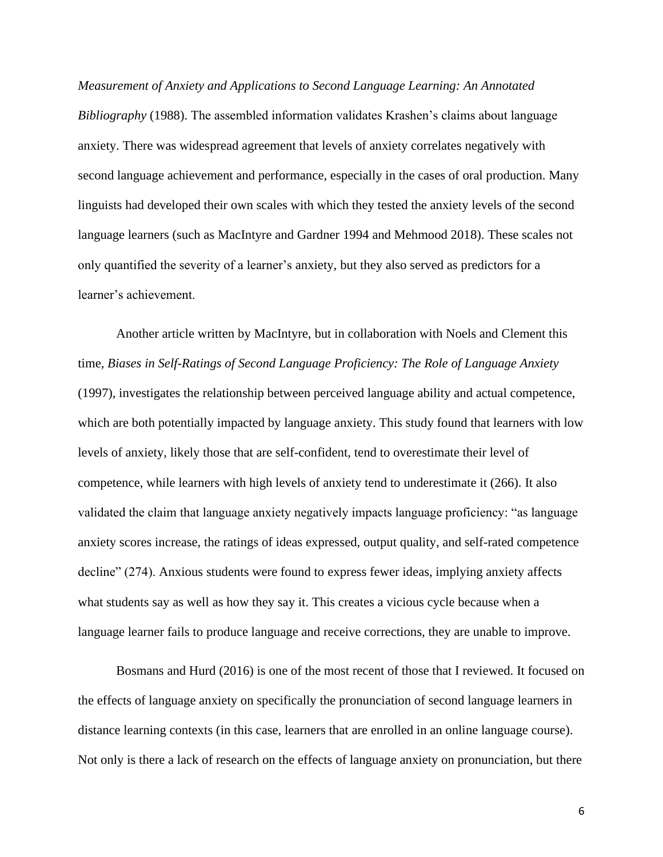*Measurement of Anxiety and Applications to Second Language Learning: An Annotated Bibliography* (1988). The assembled information validates Krashen's claims about language anxiety. There was widespread agreement that levels of anxiety correlates negatively with second language achievement and performance, especially in the cases of oral production. Many linguists had developed their own scales with which they tested the anxiety levels of the second language learners (such as MacIntyre and Gardner 1994 and Mehmood 2018). These scales not only quantified the severity of a learner's anxiety, but they also served as predictors for a learner's achievement.

Another article written by MacIntyre, but in collaboration with Noels and Clement this time, *Biases in Self-Ratings of Second Language Proficiency: The Role of Language Anxiety* (1997), investigates the relationship between perceived language ability and actual competence, which are both potentially impacted by language anxiety. This study found that learners with low levels of anxiety, likely those that are self-confident, tend to overestimate their level of competence, while learners with high levels of anxiety tend to underestimate it (266). It also validated the claim that language anxiety negatively impacts language proficiency: "as language anxiety scores increase, the ratings of ideas expressed, output quality, and self-rated competence decline" (274). Anxious students were found to express fewer ideas, implying anxiety affects what students say as well as how they say it. This creates a vicious cycle because when a language learner fails to produce language and receive corrections, they are unable to improve.

Bosmans and Hurd (2016) is one of the most recent of those that I reviewed. It focused on the effects of language anxiety on specifically the pronunciation of second language learners in distance learning contexts (in this case, learners that are enrolled in an online language course). Not only is there a lack of research on the effects of language anxiety on pronunciation, but there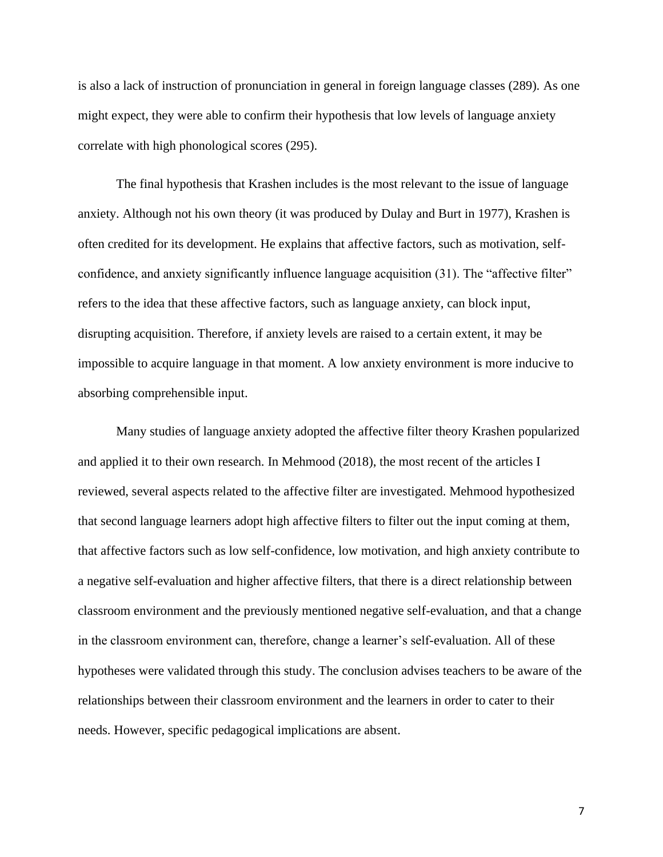is also a lack of instruction of pronunciation in general in foreign language classes (289). As one might expect, they were able to confirm their hypothesis that low levels of language anxiety correlate with high phonological scores (295).

The final hypothesis that Krashen includes is the most relevant to the issue of language anxiety. Although not his own theory (it was produced by Dulay and Burt in 1977), Krashen is often credited for its development. He explains that affective factors, such as motivation, selfconfidence, and anxiety significantly influence language acquisition (31). The "affective filter" refers to the idea that these affective factors, such as language anxiety, can block input, disrupting acquisition. Therefore, if anxiety levels are raised to a certain extent, it may be impossible to acquire language in that moment. A low anxiety environment is more inducive to absorbing comprehensible input.

Many studies of language anxiety adopted the affective filter theory Krashen popularized and applied it to their own research. In Mehmood (2018), the most recent of the articles I reviewed, several aspects related to the affective filter are investigated. Mehmood hypothesized that second language learners adopt high affective filters to filter out the input coming at them, that affective factors such as low self-confidence, low motivation, and high anxiety contribute to a negative self-evaluation and higher affective filters, that there is a direct relationship between classroom environment and the previously mentioned negative self-evaluation, and that a change in the classroom environment can, therefore, change a learner's self-evaluation. All of these hypotheses were validated through this study. The conclusion advises teachers to be aware of the relationships between their classroom environment and the learners in order to cater to their needs. However, specific pedagogical implications are absent.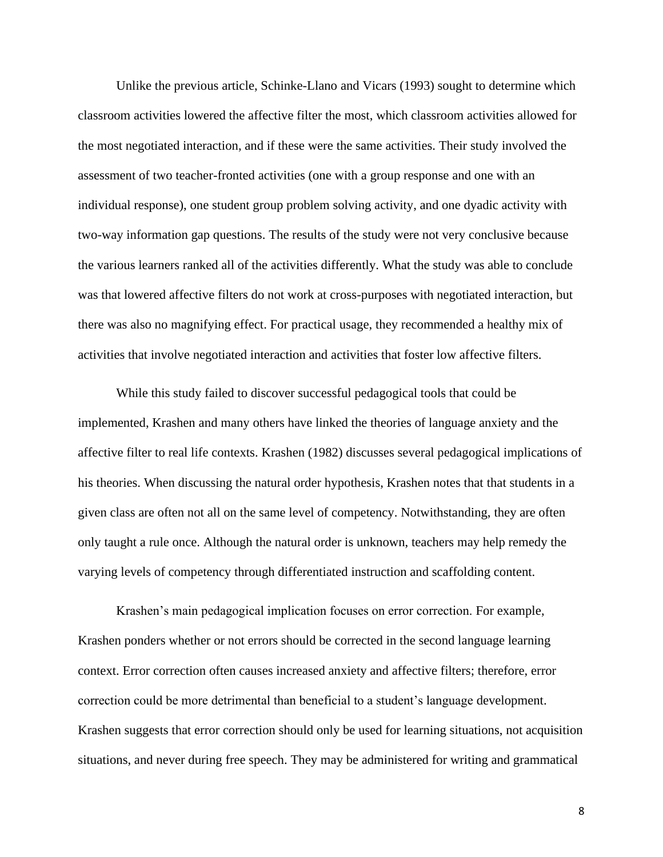Unlike the previous article, Schinke-Llano and Vicars (1993) sought to determine which classroom activities lowered the affective filter the most, which classroom activities allowed for the most negotiated interaction, and if these were the same activities. Their study involved the assessment of two teacher-fronted activities (one with a group response and one with an individual response), one student group problem solving activity, and one dyadic activity with two-way information gap questions. The results of the study were not very conclusive because the various learners ranked all of the activities differently. What the study was able to conclude was that lowered affective filters do not work at cross-purposes with negotiated interaction, but there was also no magnifying effect. For practical usage, they recommended a healthy mix of activities that involve negotiated interaction and activities that foster low affective filters.

While this study failed to discover successful pedagogical tools that could be implemented, Krashen and many others have linked the theories of language anxiety and the affective filter to real life contexts. Krashen (1982) discusses several pedagogical implications of his theories. When discussing the natural order hypothesis, Krashen notes that that students in a given class are often not all on the same level of competency. Notwithstanding, they are often only taught a rule once. Although the natural order is unknown, teachers may help remedy the varying levels of competency through differentiated instruction and scaffolding content.

Krashen's main pedagogical implication focuses on error correction. For example, Krashen ponders whether or not errors should be corrected in the second language learning context. Error correction often causes increased anxiety and affective filters; therefore, error correction could be more detrimental than beneficial to a student's language development. Krashen suggests that error correction should only be used for learning situations, not acquisition situations, and never during free speech. They may be administered for writing and grammatical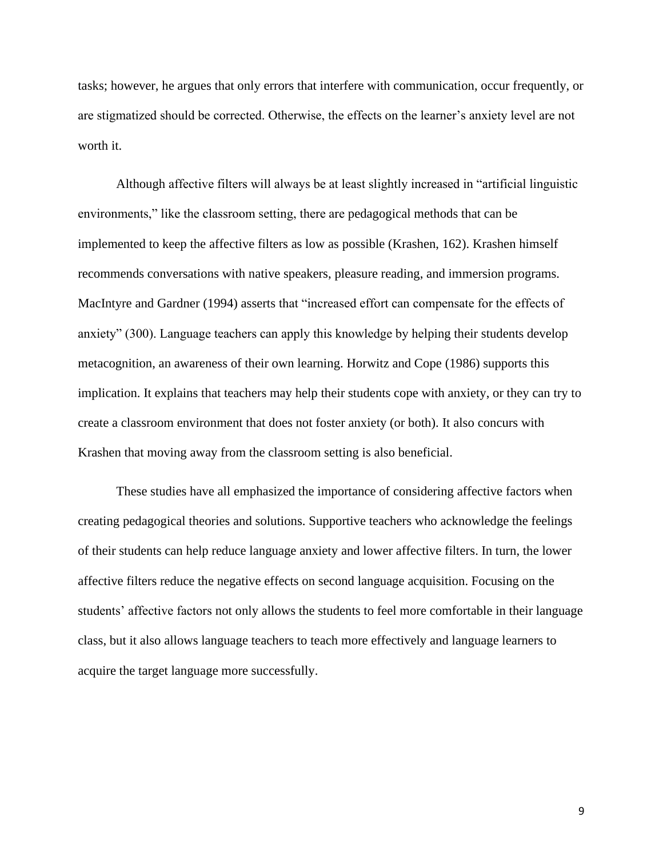tasks; however, he argues that only errors that interfere with communication, occur frequently, or are stigmatized should be corrected. Otherwise, the effects on the learner's anxiety level are not worth it.

Although affective filters will always be at least slightly increased in "artificial linguistic environments," like the classroom setting, there are pedagogical methods that can be implemented to keep the affective filters as low as possible (Krashen, 162). Krashen himself recommends conversations with native speakers, pleasure reading, and immersion programs. MacIntyre and Gardner (1994) asserts that "increased effort can compensate for the effects of anxiety" (300). Language teachers can apply this knowledge by helping their students develop metacognition, an awareness of their own learning. Horwitz and Cope (1986) supports this implication. It explains that teachers may help their students cope with anxiety, or they can try to create a classroom environment that does not foster anxiety (or both). It also concurs with Krashen that moving away from the classroom setting is also beneficial.

These studies have all emphasized the importance of considering affective factors when creating pedagogical theories and solutions. Supportive teachers who acknowledge the feelings of their students can help reduce language anxiety and lower affective filters. In turn, the lower affective filters reduce the negative effects on second language acquisition. Focusing on the students' affective factors not only allows the students to feel more comfortable in their language class, but it also allows language teachers to teach more effectively and language learners to acquire the target language more successfully.